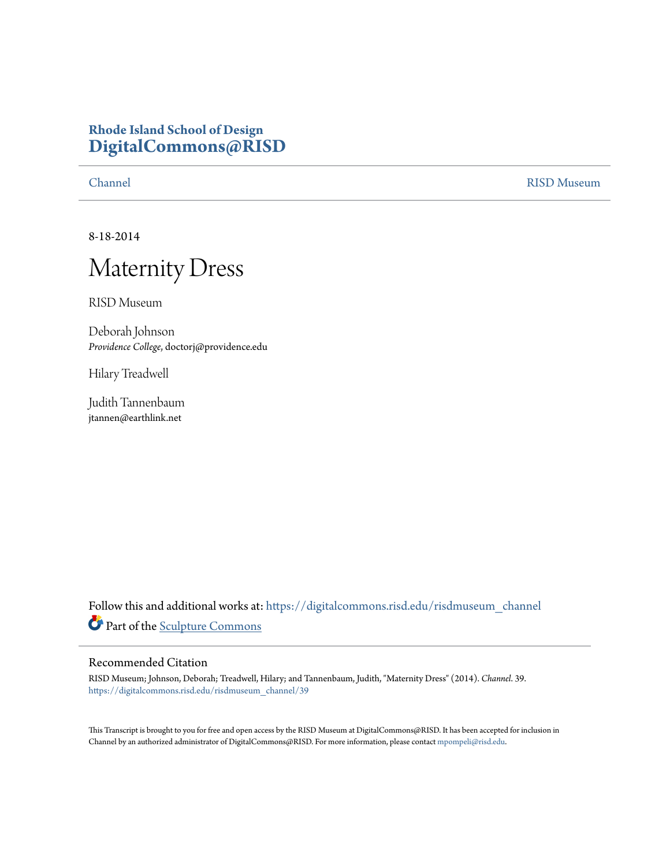## **Rhode Island School of Design [DigitalCommons@RISD](https://digitalcommons.risd.edu?utm_source=digitalcommons.risd.edu%2Frisdmuseum_channel%2F39&utm_medium=PDF&utm_campaign=PDFCoverPages)**

[Channel](https://digitalcommons.risd.edu/risdmuseum_channel?utm_source=digitalcommons.risd.edu%2Frisdmuseum_channel%2F39&utm_medium=PDF&utm_campaign=PDFCoverPages) [RISD Museum](https://digitalcommons.risd.edu/risdmuseum?utm_source=digitalcommons.risd.edu%2Frisdmuseum_channel%2F39&utm_medium=PDF&utm_campaign=PDFCoverPages)

8-18-2014

## Maternity Dress

RISD Museum

Deborah Johnson *Providence College*, doctorj@providence.edu

Hilary Treadwell

Judith Tannenbaum jtannen@earthlink.net

Follow this and additional works at: [https://digitalcommons.risd.edu/risdmuseum\\_channel](https://digitalcommons.risd.edu/risdmuseum_channel?utm_source=digitalcommons.risd.edu%2Frisdmuseum_channel%2F39&utm_medium=PDF&utm_campaign=PDFCoverPages) Part of the [Sculpture Commons](http://network.bepress.com/hgg/discipline/1341?utm_source=digitalcommons.risd.edu%2Frisdmuseum_channel%2F39&utm_medium=PDF&utm_campaign=PDFCoverPages)

## Recommended Citation

RISD Museum; Johnson, Deborah; Treadwell, Hilary; and Tannenbaum, Judith, "Maternity Dress" (2014). *Channel*. 39. [https://digitalcommons.risd.edu/risdmuseum\\_channel/39](https://digitalcommons.risd.edu/risdmuseum_channel/39?utm_source=digitalcommons.risd.edu%2Frisdmuseum_channel%2F39&utm_medium=PDF&utm_campaign=PDFCoverPages)

This Transcript is brought to you for free and open access by the RISD Museum at DigitalCommons@RISD. It has been accepted for inclusion in Channel by an authorized administrator of DigitalCommons@RISD. For more information, please contact [mpompeli@risd.edu.](mailto:mpompeli@risd.edu)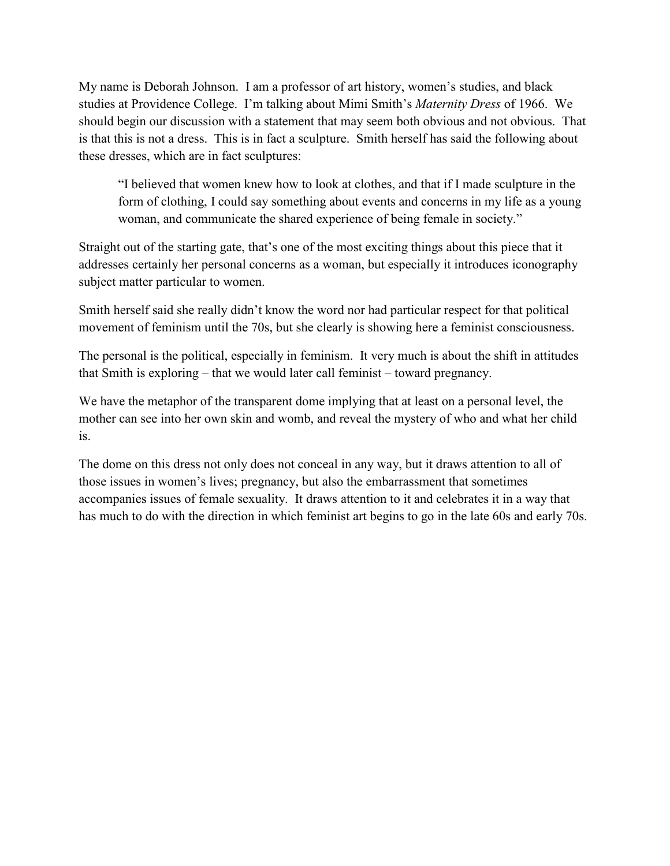My name is Deborah Johnson. I am a professor of art history, women's studies, and black studies at Providence College. I'm talking about Mimi Smith's *Maternity Dress* of 1966. We should begin our discussion with a statement that may seem both obvious and not obvious. That is that this is not a dress. This is in fact a sculpture. Smith herself has said the following about these dresses, which are in fact sculptures:

"I believed that women knew how to look at clothes, and that if I made sculpture in the form of clothing, I could say something about events and concerns in my life as a young woman, and communicate the shared experience of being female in society."

Straight out of the starting gate, that's one of the most exciting things about this piece that it addresses certainly her personal concerns as a woman, but especially it introduces iconography subject matter particular to women.

Smith herself said she really didn't know the word nor had particular respect for that political movement of feminism until the 70s, but she clearly is showing here a feminist consciousness.

The personal is the political, especially in feminism. It very much is about the shift in attitudes that Smith is exploring – that we would later call feminist – toward pregnancy.

We have the metaphor of the transparent dome implying that at least on a personal level, the mother can see into her own skin and womb, and reveal the mystery of who and what her child is.

The dome on this dress not only does not conceal in any way, but it draws attention to all of those issues in women's lives; pregnancy, but also the embarrassment that sometimes accompanies issues of female sexuality. It draws attention to it and celebrates it in a way that has much to do with the direction in which feminist art begins to go in the late 60s and early 70s.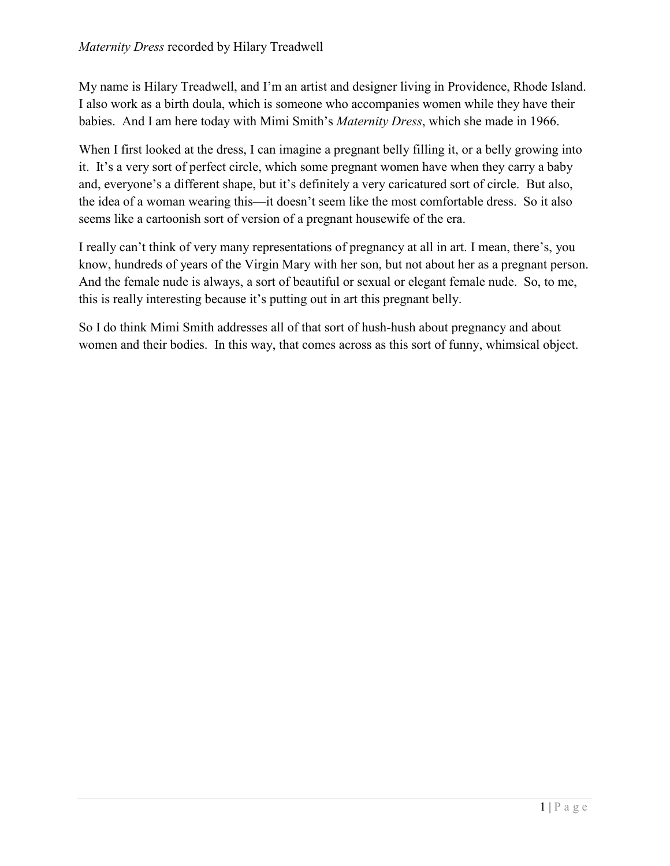My name is Hilary Treadwell, and I'm an artist and designer living in Providence, Rhode Island. I also work as a birth doula, which is someone who accompanies women while they have their babies. And I am here today with Mimi Smith's *Maternity Dress*, which she made in 1966.

When I first looked at the dress, I can imagine a pregnant belly filling it, or a belly growing into it. It's a very sort of perfect circle, which some pregnant women have when they carry a baby and, everyone's a different shape, but it's definitely a very caricatured sort of circle. But also, the idea of a woman wearing this—it doesn't seem like the most comfortable dress. So it also seems like a cartoonish sort of version of a pregnant housewife of the era.

I really can't think of very many representations of pregnancy at all in art. I mean, there's, you know, hundreds of years of the Virgin Mary with her son, but not about her as a pregnant person. And the female nude is always, a sort of beautiful or sexual or elegant female nude. So, to me, this is really interesting because it's putting out in art this pregnant belly.

So I do think Mimi Smith addresses all of that sort of hush-hush about pregnancy and about women and their bodies. In this way, that comes across as this sort of funny, whimsical object.